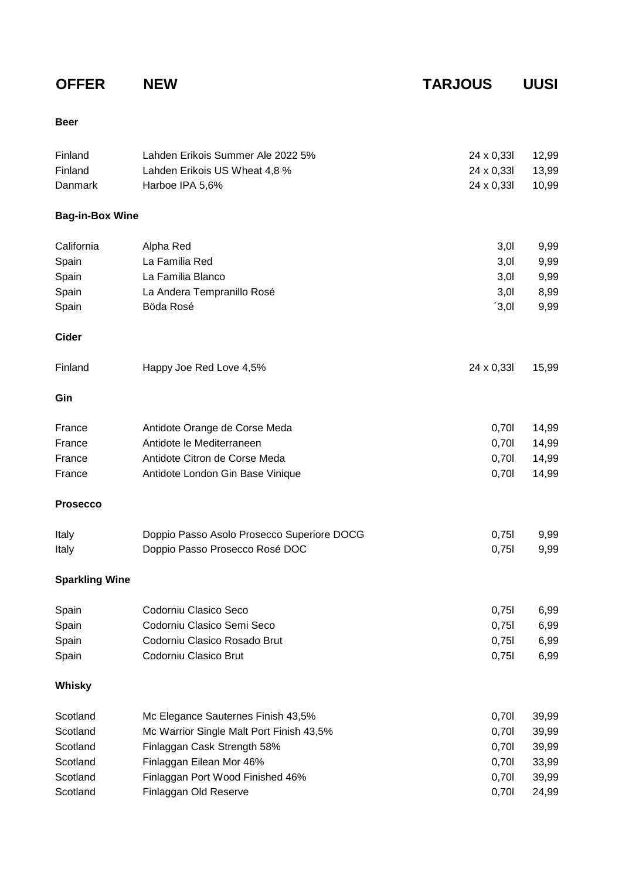**OFFER NEW TARJOUS UUSI**

## **Beer**

| Finland<br>Finland<br>Danmark | Lahden Erikois Summer Ale 2022 5%<br>Lahden Erikois US Wheat 4,8 %<br>Harboe IPA 5,6% | 24 x 0,33l<br>24 x 0,33l<br>24 x 0,33l | 12,99<br>13,99<br>10,99 |
|-------------------------------|---------------------------------------------------------------------------------------|----------------------------------------|-------------------------|
| <b>Bag-in-Box Wine</b>        |                                                                                       |                                        |                         |
| California                    | Alpha Red                                                                             | 3,01                                   | 9,99                    |
| Spain                         | La Familia Red                                                                        | 3,01                                   | 9,99                    |
| Spain                         | La Familia Blanco                                                                     | 3,01                                   | 9,99                    |
| Spain                         | La Andera Tempranillo Rosé                                                            | 3,01                                   | 8,99                    |
| Spain                         | Böda Rosé                                                                             | 3,01                                   | 9,99                    |
| <b>Cider</b>                  |                                                                                       |                                        |                         |
| Finland                       | Happy Joe Red Love 4,5%                                                               | 24 x 0,33l                             | 15,99                   |
| Gin                           |                                                                                       |                                        |                         |
| France                        | Antidote Orange de Corse Meda                                                         | 0,701                                  | 14,99                   |
| France                        | Antidote le Mediterraneen                                                             | 0,701                                  | 14,99                   |
| France                        | Antidote Citron de Corse Meda                                                         | 0,701                                  | 14,99                   |
| France                        | Antidote London Gin Base Vinique                                                      | 0,701                                  | 14,99                   |
| <b>Prosecco</b>               |                                                                                       |                                        |                         |
| Italy                         | Doppio Passo Asolo Prosecco Superiore DOCG                                            | 0,751                                  | 9,99                    |
| Italy                         | Doppio Passo Prosecco Rosé DOC                                                        | 0,751                                  | 9,99                    |
| <b>Sparkling Wine</b>         |                                                                                       |                                        |                         |
| Spain                         | Codorniu Clasico Seco                                                                 | 0,75                                   | 6,99                    |
| Spain                         | Codorniu Clasico Semi Seco                                                            | 0,751                                  | 6,99                    |
| Spain                         | Codorniu Clasico Rosado Brut                                                          | 0,751                                  | 6,99                    |
| Spain                         | Codorniu Clasico Brut                                                                 | 0,751                                  | 6,99                    |
| Whisky                        |                                                                                       |                                        |                         |
| Scotland                      | Mc Elegance Sauternes Finish 43,5%                                                    | 0,701                                  | 39,99                   |
| Scotland                      | Mc Warrior Single Malt Port Finish 43,5%                                              | 0,701                                  | 39,99                   |
| Scotland                      | Finlaggan Cask Strength 58%                                                           | 0,701                                  | 39,99                   |
| Scotland                      | Finlaggan Eilean Mor 46%                                                              | 0,701                                  | 33,99                   |
| Scotland                      | Finlaggan Port Wood Finished 46%                                                      | 0,701                                  | 39,99                   |
| Scotland                      | Finlaggan Old Reserve                                                                 | 0,701                                  | 24,99                   |